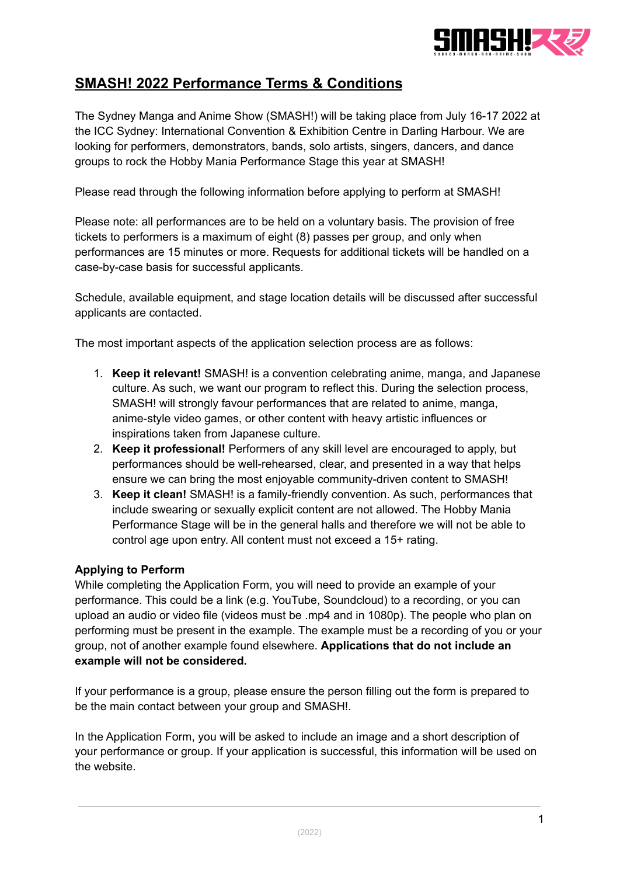

# **SMASH! 2022 Performance Terms & Conditions**

The Sydney Manga and Anime Show (SMASH!) will be taking place from July 16-17 2022 at the ICC Sydney: International Convention & Exhibition Centre in Darling Harbour. We are looking for performers, demonstrators, bands, solo artists, singers, dancers, and dance groups to rock the Hobby Mania Performance Stage this year at SMASH!

Please read through the following information before applying to perform at SMASH!

Please note: all performances are to be held on a voluntary basis. The provision of free tickets to performers is a maximum of eight (8) passes per group, and only when performances are 15 minutes or more. Requests for additional tickets will be handled on a case-by-case basis for successful applicants.

Schedule, available equipment, and stage location details will be discussed after successful applicants are contacted.

The most important aspects of the application selection process are as follows:

- 1. **Keep it relevant!** SMASH! is a convention celebrating anime, manga, and Japanese culture. As such, we want our program to reflect this. During the selection process, SMASH! will strongly favour performances that are related to anime, manga, anime-style video games, or other content with heavy artistic influences or inspirations taken from Japanese culture.
- 2. **Keep it professional!** Performers of any skill level are encouraged to apply, but performances should be well-rehearsed, clear, and presented in a way that helps ensure we can bring the most enjoyable community-driven content to SMASH!
- 3. **Keep it clean!** SMASH! is a family-friendly convention. As such, performances that include swearing or sexually explicit content are not allowed. The Hobby Mania Performance Stage will be in the general halls and therefore we will not be able to control age upon entry. All content must not exceed a 15+ rating.

#### **Applying to Perform**

While completing the Application Form, you will need to provide an example of your performance. This could be a link (e.g. YouTube, Soundcloud) to a recording, or you can upload an audio or video file (videos must be .mp4 and in 1080p). The people who plan on performing must be present in the example. The example must be a recording of you or your group, not of another example found elsewhere. **Applications that do not include an example will not be considered.**

If your performance is a group, please ensure the person filling out the form is prepared to be the main contact between your group and SMASH!.

In the Application Form, you will be asked to include an image and a short description of your performance or group. If your application is successful, this information will be used on the website.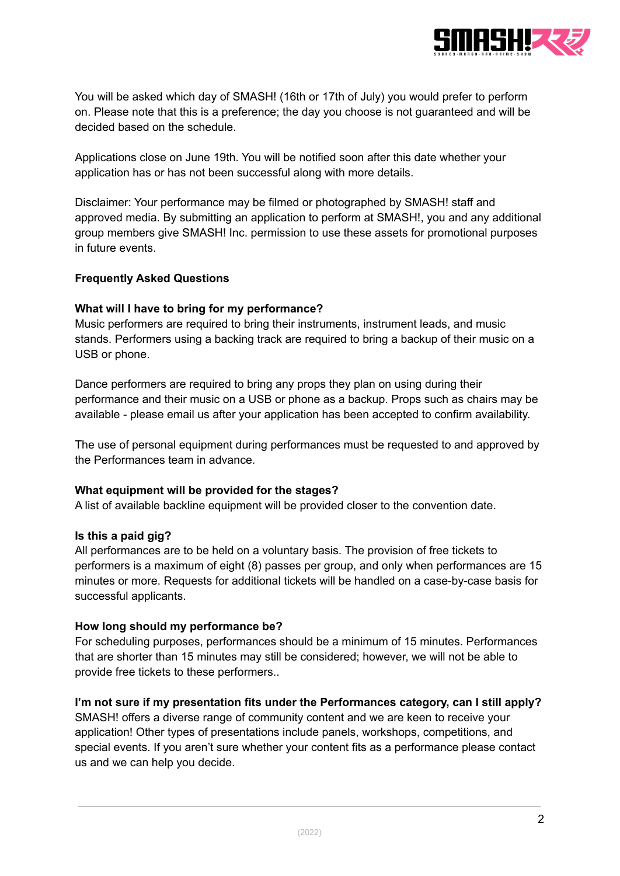

You will be asked which day of SMASH! (16th or 17th of July) you would prefer to perform on. Please note that this is a preference; the day you choose is not guaranteed and will be decided based on the schedule.

Applications close on June 19th. You will be notified soon after this date whether your application has or has not been successful along with more details.

Disclaimer: Your performance may be filmed or photographed by SMASH! staff and approved media. By submitting an application to perform at SMASH!, you and any additional group members give SMASH! Inc. permission to use these assets for promotional purposes in future events.

### **Frequently Asked Questions**

### **What will I have to bring for my performance?**

Music performers are required to bring their instruments, instrument leads, and music stands. Performers using a backing track are required to bring a backup of their music on a USB or phone.

Dance performers are required to bring any props they plan on using during their performance and their music on a USB or phone as a backup. Props such as chairs may be available - please email us after your application has been accepted to confirm availability.

The use of personal equipment during performances must be requested to and approved by the Performances team in advance.

#### **What equipment will be provided for the stages?**

A list of available backline equipment will be provided closer to the convention date.

#### **Is this a paid gig?**

All performances are to be held on a voluntary basis. The provision of free tickets to performers is a maximum of eight (8) passes per group, and only when performances are 15 minutes or more. Requests for additional tickets will be handled on a case-by-case basis for successful applicants.

#### **How long should my performance be?**

For scheduling purposes, performances should be a minimum of 15 minutes. Performances that are shorter than 15 minutes may still be considered; however, we will not be able to provide free tickets to these performers..

## **I'm not sure if my presentation fits under the Performances category, can I still apply?**

SMASH! offers a diverse range of community content and we are keen to receive your application! Other types of presentations include panels, workshops, competitions, and special events. If you aren't sure whether your content fits as a performance please contact us and we can help you decide.